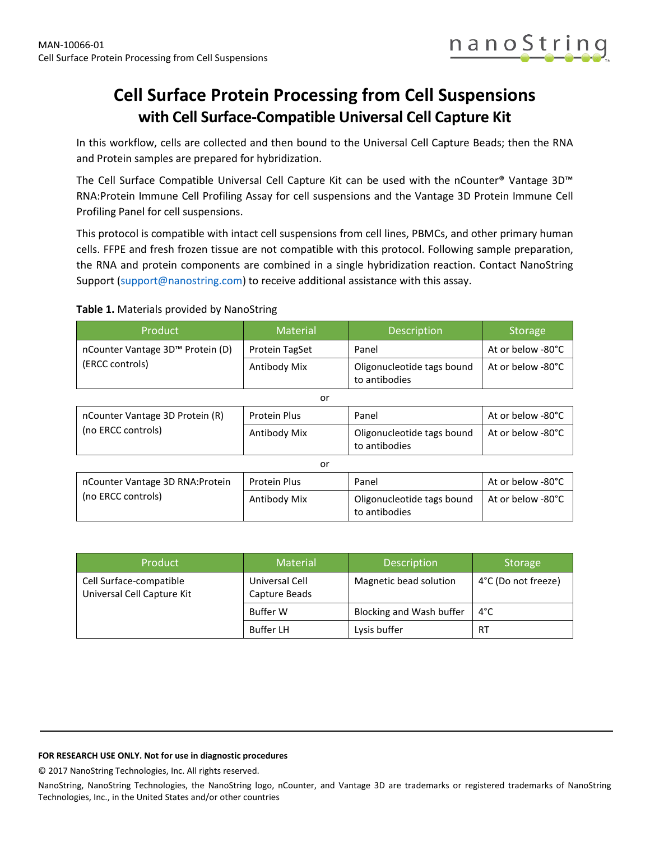

# **Cell Surface Protein Processing from Cell Suspensions with Cell Surface-Compatible Universal Cell Capture Kit**

In this workflow, cells are collected and then bound to the Universal Cell Capture Beads; then the RNA and Protein samples are prepared for hybridization.

The Cell Surface Compatible Universal Cell Capture Kit can be used with the nCounter® Vantage 3D™ RNA:Protein Immune Cell Profiling Assay for cell suspensions and the Vantage 3D Protein Immune Cell Profiling Panel for cell suspensions.

This protocol is compatible with intact cell suspensions from cell lines, PBMCs, and other primary human cells. FFPE and fresh frozen tissue are not compatible with this protocol. Following sample preparation, the RNA and protein components are combined in a single hybridization reaction. Contact NanoString Support [\(support@nanostring.com\)](mailto:info@nanostring.com?subject=nCounter%20Vantage%20RNA:Protein%20Immune%20Cell%20Profiling%20for%20Cell%20Suspensions%20Cell%20Surface%20Compatible) to receive additional assistance with this assay.

### **Table 1.** Materials provided by NanoString

| Product                                                | <b>Material</b> | <b>Description</b>                          | <b>Storage</b>    |
|--------------------------------------------------------|-----------------|---------------------------------------------|-------------------|
| nCounter Vantage 3D™ Protein (D)                       | Protein TagSet  | Panel                                       | At or below -80°C |
| (ERCC controls)                                        | Antibody Mix    | Oligonucleotide tags bound<br>to antibodies | At or below -80°C |
|                                                        | or              |                                             |                   |
| nCounter Vantage 3D Protein (R)<br>(no ERCC controls)  | Protein Plus    | Panel                                       | At or below -80°C |
|                                                        | Antibody Mix    | Oligonucleotide tags bound<br>to antibodies | At or below -80°C |
|                                                        | or              |                                             |                   |
| nCounter Vantage 3D RNA: Protein<br>(no ERCC controls) | Protein Plus    | Panel                                       | At or below -80°C |
|                                                        | Antibody Mix    | Oligonucleotide tags bound<br>to antibodies | At or below -80°C |

| Product                                               | <b>Material</b>                 | <b>Description</b>       | <b>Storage</b>      |
|-------------------------------------------------------|---------------------------------|--------------------------|---------------------|
| Cell Surface-compatible<br>Universal Cell Capture Kit | Universal Cell<br>Capture Beads | Magnetic bead solution   | 4°C (Do not freeze) |
|                                                       | Buffer W                        | Blocking and Wash buffer | 4°C                 |
|                                                       | <b>Buffer LH</b>                | Lysis buffer             | RT                  |

#### **FOR RESEARCH USE ONLY. Not for use in diagnostic procedures**

© 2017 NanoString Technologies, Inc. All rights reserved.

NanoString, NanoString Technologies, the NanoString logo, nCounter, and Vantage 3D are trademarks or registered trademarks of NanoString Technologies, Inc., in the United States and/or other countries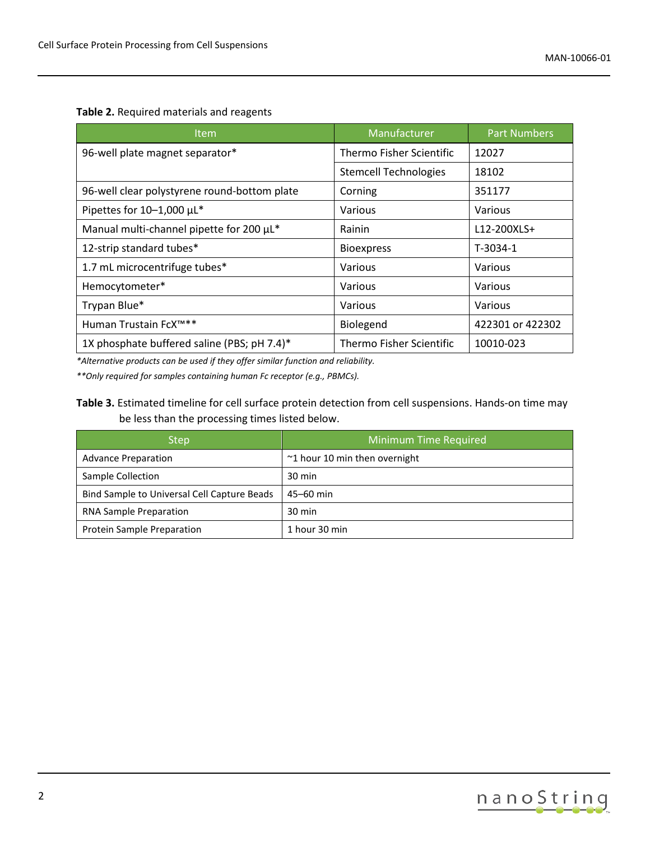**Table 2.** Required materials and reagents

| Item                                         | Manufacturer                    | <b>Part Numbers</b> |
|----------------------------------------------|---------------------------------|---------------------|
| 96-well plate magnet separator*              | <b>Thermo Fisher Scientific</b> | 12027               |
|                                              | <b>Stemcell Technologies</b>    | 18102               |
| 96-well clear polystyrene round-bottom plate | Corning                         | 351177              |
| Pipettes for 10-1,000 µL*                    | Various                         | Various             |
| Manual multi-channel pipette for 200 µL*     | Rainin                          | L12-200XLS+         |
| 12-strip standard tubes*                     | <b>Bioexpress</b>               | T-3034-1            |
| 1.7 mL microcentrifuge tubes*                | Various                         | Various             |
| Hemocytometer*                               | Various                         | Various             |
| Trypan Blue*                                 | Various                         | Various             |
| Human Trustain FcX™**                        | Biolegend                       | 422301 or 422302    |
| 1X phosphate buffered saline (PBS; pH 7.4)*  | <b>Thermo Fisher Scientific</b> | 10010-023           |

*\*Alternative products can be used if they offer similar function and reliability.*

*\*\*Only required for samples containing human Fc receptor (e.g., PBMCs).*

### **Table 3.** Estimated timeline for cell surface protein detection from cell suspensions. Hands-on time may be less than the processing times listed below.

| <b>Step</b>                                 | Minimum Time Required                  |
|---------------------------------------------|----------------------------------------|
| <b>Advance Preparation</b>                  | $\approx$ 1 hour 10 min then overnight |
| Sample Collection                           | $30 \text{ min}$                       |
| Bind Sample to Universal Cell Capture Beads | 45-60 min                              |
| <b>RNA Sample Preparation</b>               | $30 \text{ min}$                       |
| Protein Sample Preparation                  | 1 hour 30 min                          |

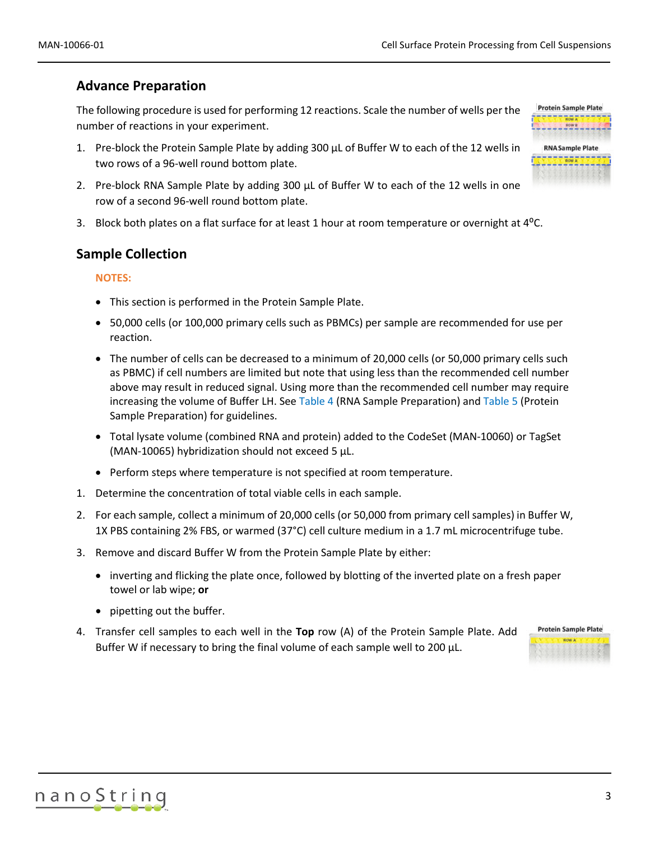## **Advance Preparation**

The following procedure is used for performing 12 reactions. Scale the number of wells per the number of reactions in your experiment.

- 1. Pre-block the Protein Sample Plate by adding 300 µL of Buffer W to each of the 12 wells in two rows of a 96-well round bottom plate.
- 2. Pre-block RNA Sample Plate by adding  $300 \mu$ L of Buffer W to each of the 12 wells in one row of a second 96-well round bottom plate.
- 3. Block both plates on a flat surface for at least 1 hour at room temperature or overnight at  $4^{\circ}$ C.

### **Sample Collection**

### **NOTES:**

- This section is performed in the Protein Sample Plate.
- 50,000 cells (or 100,000 primary cells such as PBMCs) per sample are recommended for use per reaction.
- The number of cells can be decreased to a minimum of 20,000 cells (or 50,000 primary cells such as PBMC) if cell numbers are limited but note that using less than the recommended cell number above may result in reduced signal. Using more than the recommended cell number may require increasing the volume of Buffer LH. Se[e Table 4](#page-4-0) [\(RNA Sample Preparation\)](#page-4-1) an[d Table 5](#page-7-0) [\(Protein](#page-6-0)  [Sample Preparation\)](#page-6-0) for guidelines.
- Total lysate volume (combined RNA and protein) added to the CodeSet (MAN-10060) or TagSet (MAN-10065) hybridization should not exceed 5 µL.
- Perform steps where temperature is not specified at room temperature.
- 1. Determine the concentration of total viable cells in each sample.
- 2. For each sample, collect a minimum of 20,000 cells (or 50,000 from primary cell samples) in Buffer W, 1X PBS containing 2% FBS, or warmed (37°C) cell culture medium in a 1.7 mL microcentrifuge tube.
- 3. Remove and discard Buffer W from the Protein Sample Plate by either:
	- inverting and flicking the plate once, followed by blotting of the inverted plate on a fresh paper towel or lab wipe; **or**
	- pipetting out the buffer.
- 4. Transfer cell samples to each well in the **Top** row (A) of the Protein Sample Plate. Add Buffer W if necessary to bring the final volume of each sample well to 200 µL.



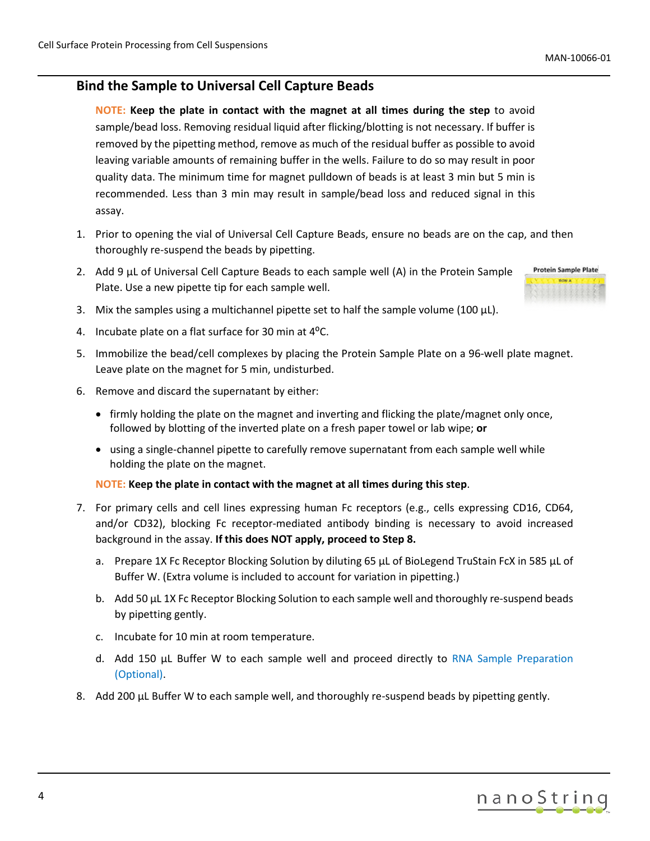# <span id="page-3-0"></span>**Bind the Sample to Universal Cell Capture Beads**

**NOTE: Keep the plate in contact with the magnet at all times during the step** to avoid sample/bead loss. Removing residual liquid after flicking/blotting is not necessary. If buffer is removed by the pipetting method, remove as much of the residual buffer as possible to avoid leaving variable amounts of remaining buffer in the wells. Failure to do so may result in poor quality data. The minimum time for magnet pulldown of beads is at least 3 min but 5 min is recommended. Less than 3 min may result in sample/bead loss and reduced signal in this assay.

- 1. Prior to opening the vial of Universal Cell Capture Beads, ensure no beads are on the cap, and then thoroughly re-suspend the beads by pipetting.
- 2. Add 9 µL of Universal Cell Capture Beads to each sample well (A) in the Protein Sample Plate. Use a new pipette tip for each sample well.



- 3. Mix the samples using a multichannel pipette set to half the sample volume (100  $\mu$ L).
- 4. Incubate plate on a flat surface for 30 min at  $4^{\circ}$ C.
- 5. Immobilize the bead/cell complexes by placing the Protein Sample Plate on a 96-well plate magnet. Leave plate on the magnet for 5 min, undisturbed.
- 6. Remove and discard the supernatant by either:
	- firmly holding the plate on the magnet and inverting and flicking the plate/magnet only once, followed by blotting of the inverted plate on a fresh paper towel or lab wipe; **or**
	- using a single-channel pipette to carefully remove supernatant from each sample well while holding the plate on the magnet.

### **NOTE: Keep the plate in contact with the magnet at all times during this step**.

- 7. For primary cells and cell lines expressing human Fc receptors (e.g., cells expressing CD16, CD64, and/or CD32), blocking Fc receptor-mediated antibody binding is necessary to avoid increased background in the assay. **If this does NOT apply, proceed to Step 8.**
	- a. Prepare 1X Fc Receptor Blocking Solution by diluting 65 μL of BioLegend TruStain FcX in 585 μL of Buffer W. (Extra volume is included to account for variation in pipetting.)
	- b. Add 50 µL 1X Fc Receptor Blocking Solution to each sample well and thoroughly re-suspend beads by pipetting gently.
	- c. Incubate for 10 min at room temperature.
	- d. Add 150 µL Buffer W to each sample well and proceed directly to [RNA Sample Preparation](#page-4-1)  [\(Optional\).](#page-4-1)
- 8. Add 200 µL Buffer W to each sample well, and thoroughly re-suspend beads by pipetting gently.

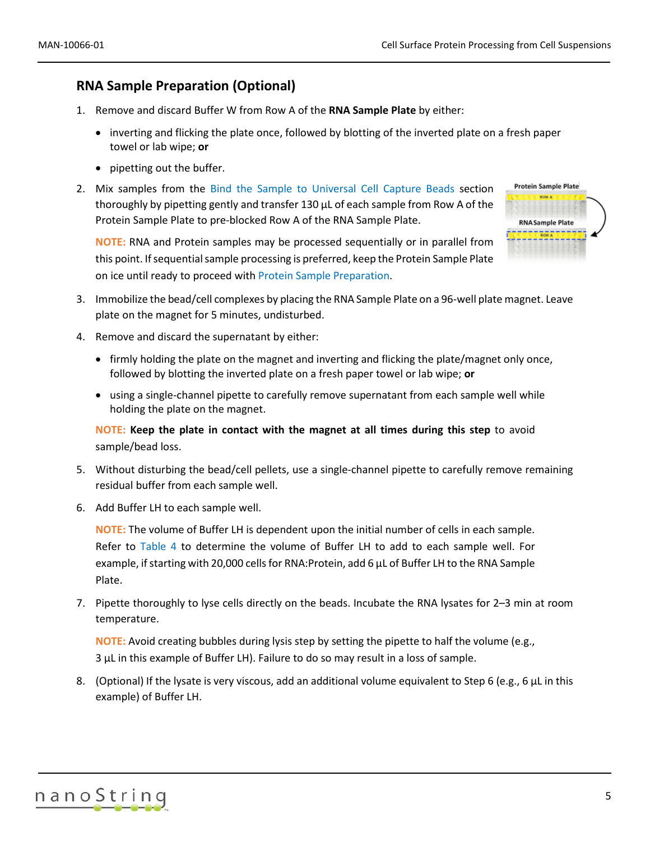# <span id="page-4-1"></span>**RNA Sample Preparation (Optional)**

- 1. Remove and discard Buffer W from Row A of the **RNA Sample Plate** by either:
	- inverting and flicking the plate once, followed by blotting of the inverted plate on a fresh paper towel or lab wipe; **or**
	- pipetting out the buffer.
- 2. Mix samples from the [Bind the Sample to Universal Cell Capture Beads](#page-3-0) section thoroughly by pipetting gently and transfer 130 µL of each sample from Row A of the Protein Sample Plate to pre-blocked Row A of the RNA Sample Plate.

**Protein Sample Plate RNA Sample Plate FILIPPIATITIZ** 

**NOTE:** RNA and Protein samples may be processed sequentially or in parallel from this point. If sequential sample processing is preferred, keep the Protein Sample Plate on ice until ready to proceed with [Protein Sample Preparation.](#page-6-0)

- 3. Immobilize the bead/cell complexes by placing the RNA Sample Plate on a 96-well plate magnet. Leave plate on the magnet for 5 minutes, undisturbed.
- 4. Remove and discard the supernatant by either:
	- firmly holding the plate on the magnet and inverting and flicking the plate/magnet only once, followed by blotting the inverted plate on a fresh paper towel or lab wipe; **or**
	- using a single-channel pipette to carefully remove supernatant from each sample well while holding the plate on the magnet.

**NOTE: Keep the plate in contact with the magnet at all times during this step** to avoid sample/bead loss.

- 5. Without disturbing the bead/cell pellets, use a single-channel pipette to carefully remove remaining residual buffer from each sample well.
- 6. Add Buffer LH to each sample well.

**NOTE:** The volume of Buffer LH is dependent upon the initial number of cells in each sample. Refer to [Table 4](#page-4-0) to determine the volume of Buffer LH to add to each sample well. For example, if starting with 20,000 cells for RNA:Protein, add 6 µL of Buffer LH to the RNA Sample Plate.

7. Pipette thoroughly to lyse cells directly on the beads. Incubate the RNA lysates for 2–3 min at room temperature.

**NOTE:** Avoid creating bubbles during lysis step by setting the pipette to half the volume (e.g., 3 µL in this example of Buffer LH). Failure to do so may result in a loss of sample.

<span id="page-4-0"></span>8. (Optional) If the lysate is very viscous, add an additional volume equivalent to Step 6 (e.g., 6 µL in this example) of Buffer LH.

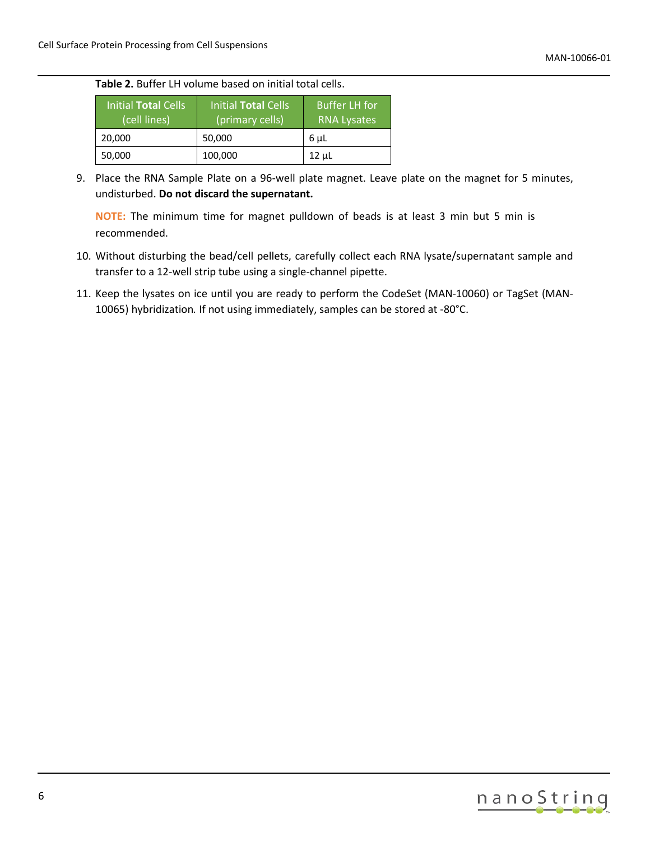### **Table 2.** Buffer LH volume based on initial total cells.

| Initial Total Cells<br>(cell lines) | Initial Total Cells<br>(primary cells) | <b>Buffer LH for</b><br><b>RNA Lysates</b> |
|-------------------------------------|----------------------------------------|--------------------------------------------|
| 20,000                              | 50,000                                 | 6 µL                                       |
| 50,000                              | 100,000                                | $12 \mu L$                                 |

9. Place the RNA Sample Plate on a 96-well plate magnet. Leave plate on the magnet for 5 minutes, undisturbed. **Do not discard the supernatant.**

**NOTE:** The minimum time for magnet pulldown of beads is at least 3 min but 5 min is recommended.

- 10. Without disturbing the bead/cell pellets, carefully collect each RNA lysate/supernatant sample and transfer to a 12-well strip tube using a single-channel pipette.
- 11. Keep the lysates on ice until you are ready to perform the CodeSet (MAN-10060) or TagSet (MAN-10065) hybridization*.* If not using immediately, samples can be stored at -80°C.

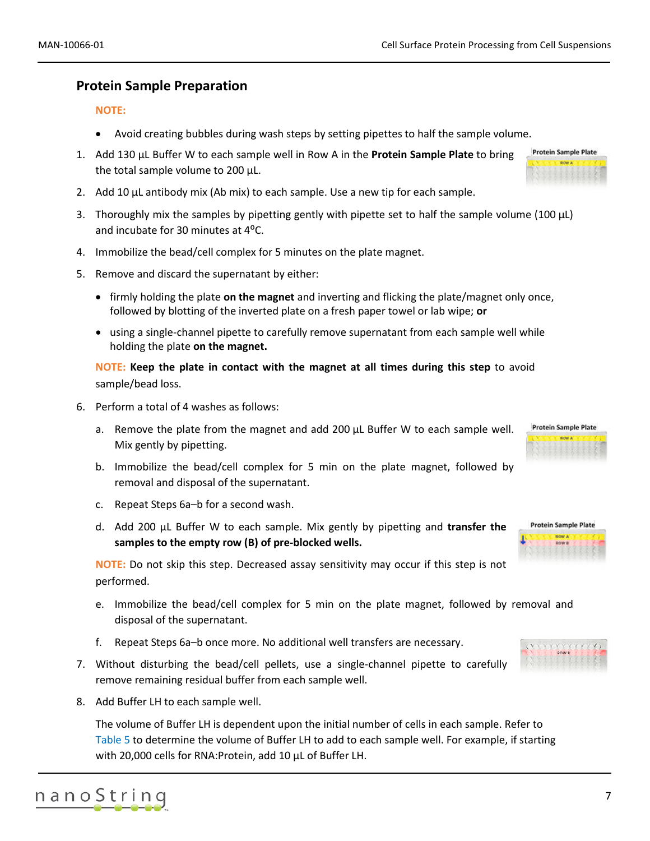### <span id="page-6-0"></span>**Protein Sample Preparation**

#### **NOTE:**

- Avoid creating bubbles during wash steps by setting pipettes to half the sample volume.
- 1. Add 130 µL Buffer W to each sample well in Row A in the **Protein Sample Plate** to bring the total sample volume to 200 µL.
- 2. Add 10  $\mu$ L antibody mix (Ab mix) to each sample. Use a new tip for each sample.
- 3. Thoroughly mix the samples by pipetting gently with pipette set to half the sample volume (100  $\mu$ L) and incubate for 30 minutes at 4<sup>o</sup>C.
- 4. Immobilize the bead/cell complex for 5 minutes on the plate magnet.
- 5. Remove and discard the supernatant by either:
	- firmly holding the plate **on the magnet** and inverting and flicking the plate/magnet only once, followed by blotting of the inverted plate on a fresh paper towel or lab wipe; **or**
	- using a single-channel pipette to carefully remove supernatant from each sample well while holding the plate **on the magnet.**

**NOTE: Keep the plate in contact with the magnet at all times during this step** to avoid sample/bead loss.

- 6. Perform a total of 4 washes as follows:
	- a. Remove the plate from the magnet and add 200  $\mu$ L Buffer W to each sample well. Mix gently by pipetting.
	- b. Immobilize the bead/cell complex for 5 min on the plate magnet, followed by removal and disposal of the supernatant.
	- c. Repeat Steps 6a–b for a second wash.
	- d. Add 200 µL Buffer W to each sample. Mix gently by pipetting and **transfer the samples to the empty row (B) of pre-blocked wells.**

**NOTE:** Do not skip this step. Decreased assay sensitivity may occur if this step is not performed.

- e. Immobilize the bead/cell complex for 5 min on the plate magnet, followed by removal and disposal of the supernatant.
- f. Repeat Steps 6a–b once more. No additional well transfers are necessary.
- 7. Without disturbing the bead/cell pellets, use a single-channel pipette to carefully remove remaining residual buffer from each sample well.
- 8. Add Buffer LH to each sample well.

The volume of Buffer LH is dependent upon the initial number of cells in each sample. Refer to [Table 5](#page-7-0) to determine the volume of Buffer LH to add to each sample well. For example, if starting with 20,000 cells for RNA:Protein, add 10 µL of Buffer LH.